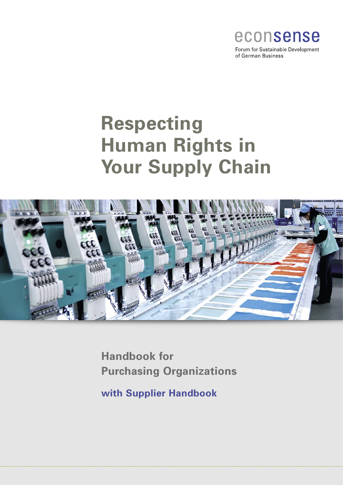

of German Business

# **Respecting Human Rights in Your Supply Chain**



**Handbook for Purchasing Organizations**

**with Supplier Handbook**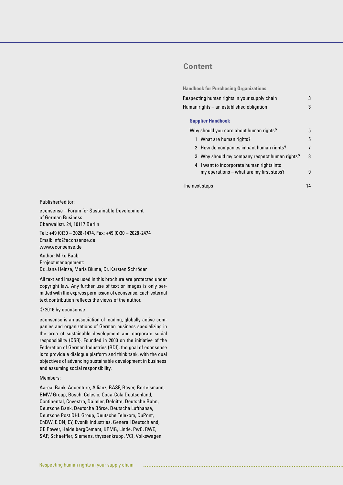# **Content**

**Handbook for Purchasing Organizations**

| Respecting human rights in your supply chain | 3 |
|----------------------------------------------|---|
| Human rights – an established obligation     | 3 |
| <b>Supplier Handbook</b>                     |   |
| Why should you care about human rights?      |   |

| <u>vviiv olioulu vou curc about hulliuli Hylito:</u>                                  | $\cdot$ |
|---------------------------------------------------------------------------------------|---------|
| 1 What are human rights?                                                              | 5       |
| 2 How do companies impact human rights?                                               | 7       |
| 3 Why should my company respect human rights?                                         | 8       |
| 4 I want to incorporate human rights into<br>my operations – what are my first steps? | g       |

The next steps 14

Publisher/editor:

econsense – Forum for Sustainable Development of German Business Oberwallstr. 24, 10117 Berlin

Tel.: +49 (0)30 – 2028-1474, Fax: +49 (0)30 – 2028-2474 Email: info@econsense.de www.econsense.de

Author: Mike Baab Project management: Dr. Jana Heinze, Maria Blume, Dr. Karsten Schröder

All text and images used in this brochure are protected under copyright law. Any further use of text or images is only permitted with the express permission of econsense. Each external text contribution reflects the views of the author.

#### © 2016 by econsense

econsense is an association of leading, globally active companies and organizations of German business specializing in the area of sustainable development and corporate social responsibility (CSR). Founded in 2000 on the initiative of the Federation of German Industries (BDI), the goal of econsense is to provide a dialogue platform and think tank, with the dual objectives of advancing sustainable development in business and assuming social responsibility.

#### Members:

Aareal Bank, Accenture, Allianz, BASF, Bayer, Bertelsmann, BMW Group, Bosch, Celesio, Coca-Cola Deutschland, Continental, Covestro, Daimler, Deloitte, Deutsche Bahn, Deutsche Bank, Deutsche Börse, Deutsche Lufthansa, Deutsche Post DHL Group, Deutsche Telekom, DuPont, EnBW, E.ON, EY, Evonik Industries, Generali Deutschland, GE Power, HeidelbergCement, KPMG, Linde, PwC, RWE, SAP, Schaeffler, Siemens, thyssenkrupp, VCI, Volkswagen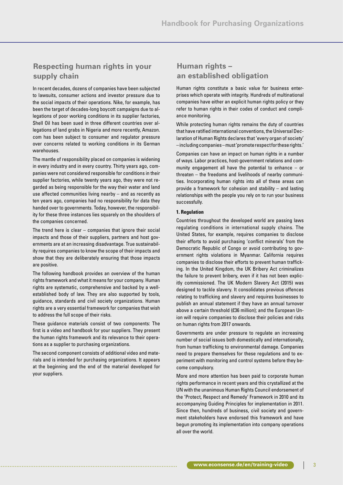# **Respecting human rights in your supply chain**

In recent decades, dozens of companies have been subjected to lawsuits, consumer actions and investor pressure due to the social impacts of their operations. Nike, for example, has been the target of decades-long boycott campaigns due to allegations of poor working conditions in its supplier factories, Shell Oil has been sued in three different countries over allegations of land grabs in Nigeria and more recently, Amazon. com has been subject to consumer and regulator pressure over concerns related to working conditions in its German warehouses.

The mantle of responsibility placed on companies is widening in every industry and in every country. Thirty years ago, companies were not considered responsible for conditions in their supplier factories, while twenty years ago, they were not regarded as being responsible for the way their water and land use affected communities living nearby – and as recently as ten years ago, companies had no responsibility for data they handed over to governments. Today, however, the responsibility for these three instances lies squarely on the shoulders of the companies concerned.

The trend here is clear – companies that ignore their social impacts and those of their suppliers, partners and host governments are at an increasing disadvantage. True sustainability requires companies to know the scope of their impacts and show that they are deliberately ensuring that those impacts are positive.

The following handbook provides an overview of the human rights framework and what it means for your company. Human rights are systematic, comprehensive and backed by a wellestablished body of law. They are also supported by tools, guidance, standards and civil society organizations. Human rights are a very essential framework for companies that wish to address the full scope of their risks.

These guidance materials consist of two components: The first is a video and handbook for your suppliers. They present the human rights framework and its relevance to their operations as a supplier to purchasing organizations.

The second component consists of additional video and materials and is intended for purchasing organizations. It appears at the beginning and the end of the material developed for your suppliers.

# **Human rights – an established obligation**

Human rights constitute a basic value for business enterprises which operate with integrity. Hundreds of multinational companies have either an explicit human rights policy or they refer to human rights in their codes of conduct and compliance monitoring.

While protecting human rights remains the duty of countries that have ratified international conventions, the Universal Declaration of Human Rights declares that 'every organ of society' – including companies – must 'promote respect for these rights.'

Companies can have an impact on human rights in a number of ways. Labor practices, host-government relations and community engagement all have the potential to enhance – or threaten – the freedoms and livelihoods of nearby communities. Incorporating human rights into all of these areas can provide a framework for cohesion and stability – and lasting relationships with the people you rely on to run your business successfully.

#### **1. Regulation**

Countries throughout the developed world are passing laws regulating conditions in international supply chains. The United States, for example, requires companies to disclose their efforts to avoid purchasing 'conflict minerals' from the Democratic Republic of Congo or avoid contributing to government rights violations in Myanmar. California requires companies to disclose their efforts to prevent human trafficking. In the United Kingdom, the UK Bribery Act criminalizes the failure to prevent bribery, even if it has not been explicitly commissioned. The UK Modern Slavery Act (2015) was designed to tackle slavery. It consolidates previous offences relating to trafficking and slavery and requires businesses to publish an annual statement if they have an annual turnover above a certain threshold (£36 million); and the European Union will require companies to disclose their policies and risks on human rights from 2017 onwards.

Governments are under pressure to regulate an increasing number of social issues both domestically and internationally, from human trafficking to environmental damage. Companies need to prepare themselves for these regulations and to experiment with monitoring and control systems before they become compulsory.

More and more attention has been paid to corporate human rights performance in recent years and this crystallized at the UN with the unanimous Human Rights Council endorsement of the 'Protect, Respect and Remedy' Framework in 2010 and its accompanying Guiding Principles for implementation in 2011. Since then, hundreds of business, civil society and government stakeholders have endorsed this framework and have begun promoting its implementation into company operations all over the world.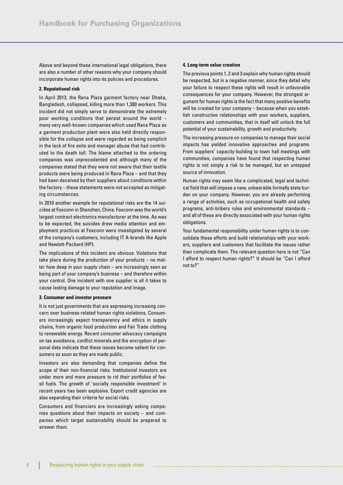Above and beyond these international legal obligations, there are also a number of other reasons why your company should incorporate human rights into its policies and procedures.

#### **2. Reputational risk**

In April 2013, the Rana Plaza garment factory near Dhaka, Bangladesh, collapsed, killing more than 1,300 workers. This incident did not simply serve to demonstrate the extremely poor working conditions that persist around the world – many very well-known companies which used Rana Plaza as a garment production plant were also held directly responsible for the collapse and were regarded as being complicit in the lack of fire exits and manager abuse that had contributed to the death toll. The blame attached to the ordering companies was unprecedented and although many of the companies stated that they were not aware that their textile products were being produced in Rana Plaza – and that they had been deceived by their suppliers about conditions within the factory – these statements were not accepted as mitigating circumstances.

In 2010 another example for reputational risks are the 14 suicides at Foxconn in Shenzhen, China. Foxconn was the world's largest contract electronics manufacturer at the time. As was to be expected, the suicides drew media attention and employment practices at Foxconn were investigated by several of the company's customers, including IT A-brands like Apple and Hewlett-Packard (HP).

The implications of this incident are obvious: Violations that take place during the production of your products – no matter how deep in your supply chain – are increasingly seen as being part of your company's business – and therefore within your control. One incident with one supplier is all it takes to cause lasting damage to your reputation and image.

#### **3. Consumer and investor pressure**

It is not just governments that are expressing increasing concern over business-related human rights violations. Consumers increasingly expect transparency and ethics in supply chains, from organic food production and Fair Trade clothing to renewable energy. Recent consumer advocacy campaigns on tax avoidance, conflict minerals and the encryption of personal data indicate that these issues become salient for consumers as soon as they are made public.

Investors are also demanding that companies define the scope of their non-financial risks. Institutional investors are under more and more pressure to rid their portfolios of fossil fuels. The growth of 'socially responsible investment' in recent years has been explosive. Export credit agencies are also expanding their criteria for social risks.

Consumers and financiers are increasingly asking companies questions about their impacts on society – and companies which target sustainability should be prepared to answer them.

#### **4. Long-term value creation**

The previous points 1, 2 and 3 explain why human rights should be respected, but in a negative manner, since they detail why your failure to respect these rights will result in unfavorable consequences for your company. However, the strongest argument for human rights is the fact that many positive benefits will be created for your company – because when you establish constructive relationships with your workers, suppliers, customers and communities, that in itself will unlock the full potential of your sustainability, growth and productivity.

The increasing pressure on companies to manage their social impacts has yielded innovative approaches and programs. From suppliers' capacity-building to town hall meetings with communities, companies have found that respecting human rights is not simply a risk to be managed, but an untapped source of innovation.

Human rights may seem like a complicated, legal and technical field that will impose a new, unbearable formally state burden on your company. However, you are already performing a range of activities, such as occupational health and safety programs, anti-bribery rules and environmental standards – and all of these are directly associated with your human rights obligations.

Your fundamental responsibility under human rights is to consolidate these efforts and build relationships with your workers, suppliers and customers that facilitate the issues rather than complicate them. The relevant question here is not "Can I afford to respect human rights?" It should be "Can I afford not to?"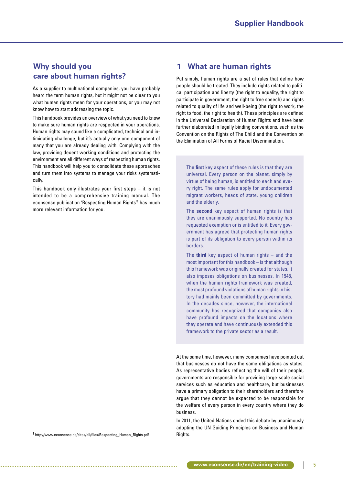# **Why should you care about human rights?**

As a supplier to multinational companies, you have probably heard the term human rights, but it might not be clear to you what human rights mean for your operations, or you may not know how to start addressing the topic.

This handbook provides an overview of what you need to know to make sure human rights are respected in your operations. Human rights may sound like a complicated, technical and intimidating challenge, but it's actually only one component of many that you are already dealing with. Complying with the law, providing decent working conditions and protecting the environment are all different ways of respecting human rights. This handbook will help you to consolidate these approaches and turn them into systems to manage your risks systematically.

This handbook only illustrates your first steps – it is not intended to be a comprehensive training manual. The econsense publication 'Respecting Human Rights'1 has much more relevant information for you.

<sup>1</sup> http://www.econsense.de/sites/all/files/Respecting\_Human\_Rights.pdf Rights.

# **1 What are human rights**

Put simply, human rights are a set of rules that define how people should be treated. They include rights related to political participation and liberty (the right to equality, the right to participate in government, the right to free speech) and rights related to quality of life and well-being (the right to work, the right to food, the right to health). These principles are defined in the Universal Declaration of Human Rights and have been further elaborated in legally binding conventions, such as the Convention on the Rights of The Child and the Convention on the Elimination of All Forms of Racial Discrimination.

The **first** key aspect of these rules is that they are universal. Every person on the planet, simply by virtue of being human, is entitled to each and every right. The same rules apply for undocumented migrant workers, heads of state, young children and the elderly.

The **second** key aspect of human rights is that they are unanimously supported. No country has requested exemption or is entitled to it. Every government has agreed that protecting human rights is part of its obligation to every person within its borders.

The **third** key aspect of human rights – and the most important for this handbook – is that although this framework was originally created for states, it also imposes obligations on businesses. In 1948, when the human rights framework was created, the most profound violations of human rights in history had mainly been committed by governments. In the decades since, however, the international community has recognized that companies also have profound impacts on the locations where they operate and have continuously extended this framework to the private sector as a result.

At the same time, however, many companies have pointed out that businesses do not have the same obligations as states. As representative bodies reflecting the will of their people, governments are responsible for providing large-scale social services such as education and healthcare, but businesses have a primary obligation to their shareholders and therefore argue that they cannot be expected to be responsible for the welfare of every person in every country where they do business.

In 2011, the United Nations ended this debate by unanimously adopting the UN Guiding Principles on Business and Human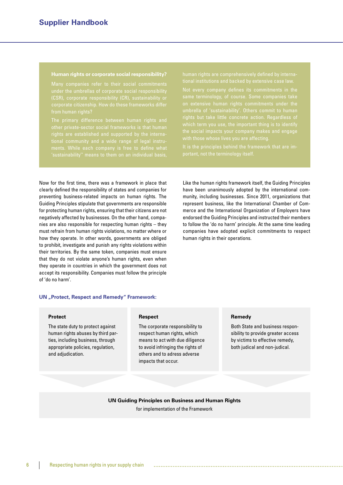#### **Human rights or corporate social responsibility?**

(CSR), corporate responsibility (CR), sustainability or corporate citizenship. How do these frameworks differ from human rights?

the social impacts your company makes and engage

human rights in their operations.

Like the human rights framework itself, the Guiding Principles have been unanimously adopted by the international community, including businesses. Since 2011, organizations that represent business, like the International Chamber of Commerce and the International Organization of Employers have endorsed the Guiding Principles and instructed their members to follow the 'do no harm' principle. At the same time leading companies have adopted explicit commitments to respect

Now for the first time, there was a framework in place that clearly defined the responsibility of states and companies for preventing business-related impacts on human rights. The Guiding Principles stipulate that governments are responsible for protecting human rights, ensuring that their citizens are not negatively affected by businesses. On the other hand, companies are also responsible for respecting human rights – they must refrain from human rights violations, no matter where or how they operate. In other words, governments are obliged to prohibit, investigate and punish any rights violations within their territories. By the same token, companies must ensure that they do not violate anyone's human rights, even when they operate in countries in which the government does not accept its responsibility. Companies must follow the principle of 'do no harm'.

#### **UN** "Protect, Respect and Remedy" Framework:

#### **Protect**

The state duty to protect against human rights abuses by third parties, including business, through appropriate policies, regulation, and adjudication.

#### **Respect**

The corporate responsibility to respect human rights, which means to act with due diligence to avoid infringing the rights of others and to adress adverse impacts that occur.

#### **Remedy**

Both State and business responsibility to provide greater access by victims to effective remedy, both judical and non-judical.

# **UN Guiding Principles on Business and Human Rights** for implementation of the Framework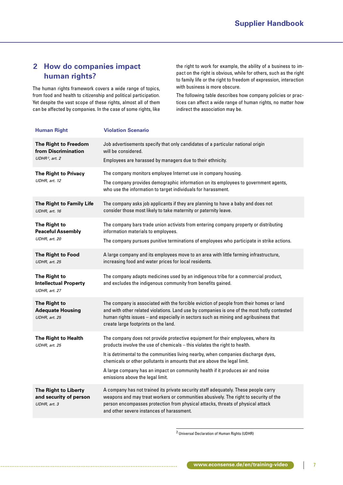# **2 How do companies impact human rights?**

The human rights framework covers a wide range of topics, from food and health to citizenship and political participation. Yet despite the vast scope of these rights, almost all of them can be affected by companies. In the case of some rights, like the right to work for example, the ability of a business to impact on the right is obvious, while for others, such as the right to family life or the right to freedom of expression, interaction with business is more obscure.

The following table describes how company policies or practices can affect a wide range of human rights, no matter how indirect the association may be.

| <b>Human Right</b>                                                        | <b>Violation Scenario</b>                                                                                                                                                                                                                                                                                                                                                                                                                              |
|---------------------------------------------------------------------------|--------------------------------------------------------------------------------------------------------------------------------------------------------------------------------------------------------------------------------------------------------------------------------------------------------------------------------------------------------------------------------------------------------------------------------------------------------|
| The Right to Freedom<br>from Discrimination<br>UDHR <sup>2</sup> , art. 2 | Job advertisements specify that only candidates of a particular national origin<br>will be considered.<br>Employees are harassed by managers due to their ethnicity.                                                                                                                                                                                                                                                                                   |
| <b>The Right to Privacy</b><br>UDHR, art. 12                              | The company monitors employee Internet use in company housing.<br>The company provides demographic information on its employees to government agents,<br>who use the information to target individuals for harassment.                                                                                                                                                                                                                                 |
| The Right to Family Life<br>UDHR, art. 16                                 | The company asks job applicants if they are planning to have a baby and does not<br>consider those most likely to take maternity or paternity leave.                                                                                                                                                                                                                                                                                                   |
| The Right to<br><b>Peaceful Assembly</b><br>UDHR, art. 20                 | The company bars trade union activists from entering company property or distributing<br>information materials to employees.<br>The company pursues punitive terminations of employees who participate in strike actions.                                                                                                                                                                                                                              |
| The Right to Food<br>UDHR, art. 25                                        | A large company and its employees move to an area with little farming infrastructure,<br>increasing food and water prices for local residents.                                                                                                                                                                                                                                                                                                         |
| The Right to<br><b>Intellectual Property</b><br>UDHR, art. 27             | The company adapts medicines used by an indigenous tribe for a commercial product,<br>and excludes the indigenous community from benefits gained.                                                                                                                                                                                                                                                                                                      |
| The Right to<br><b>Adequate Housing</b><br>UDHR, art. 25                  | The company is associated with the forcible eviction of people from their homes or land<br>and with other related violations. Land use by companies is one of the most hotly contested<br>human rights issues - and especially in sectors such as mining and agribusiness that<br>create large footprints on the land.                                                                                                                                 |
| The Right to Health<br>UDHR, art. 25                                      | The company does not provide protective equipment for their employees, where its<br>products involve the use of chemicals - this violates the right to health.<br>It is detrimental to the communities living nearby, when companies discharge dyes,<br>chemicals or other pollutants in amounts that are above the legal limit.<br>A large company has an impact on community health if it produces air and noise<br>emissions above the legal limit. |
| The Right to Liberty<br>and security of person<br>UDHR, art. 3            | A company has not trained its private security staff adequately. These people carry<br>weapons and may treat workers or communities abusively. The right to security of the<br>person encompasses protection from physical attacks, threats of physical attack<br>and other severe instances of harassment.                                                                                                                                            |

2 Universal Declaration of Human Rights (UDHR)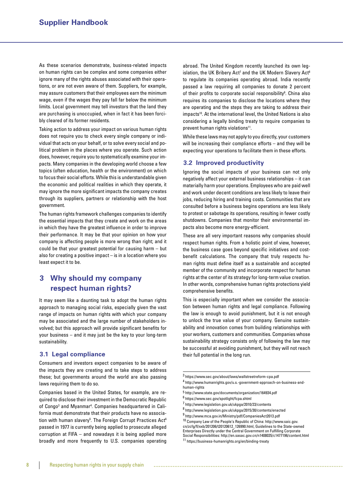As these scenarios demonstrate, business-related impacts on human rights can be complex and some companies either ignore many of the rights abuses associated with their operations, or are not even aware of them. Suppliers, for example, may assure customers that their employees earn the minimum wage, even if the wages they pay fall far below the minimum limits. Local government may tell investors that the land they are purchasing is unoccupied, when in fact it has been forcibly cleared of its former residents.

Taking action to address your impact on various human rights does not require you to check every single company or individual that acts on your behalf, or to solve every social and political problem in the places where you operate. Such action does, however, require you to systematically examine your impacts. Many companies in the developing world choose a few topics (often education, health or the environment) on which to focus their social efforts. While this is understandable given the economic and political realities in which they operate, it may ignore the more significant impacts the company creates through its suppliers, partners or relationship with the host government.

The human rights framework challenges companies to identify the essential impacts that they create and work on the areas in which they have the greatest influence in order to improve their performance. It may be that your opinion on how your company is affecting people is more wrong than right; and it could be that your greatest potential for causing harm – but also for creating a positive impact – is in a location where you least expect it to be.

# **3 Why should my company respect human rights?**

It may seem like a daunting task to adopt the human rights approach to managing social risks, especially given the vast range of impacts on human rights with which your company may be associated and the large number of stakeholders involved; but this approach will provide significant benefits for your business – and it may just be the key to your long-term sustainability.

## **3.1 Legal compliance**

Consumers and investors expect companies to be aware of the impacts they are creating and to take steps to address these; but governments around the world are also passing laws requiring them to do so.

Companies based in the United States, for example, are required to disclose their investment in the Democratic Republic of Congo<sup>3</sup> and Myanmar<sup>4</sup>. Companies headquartered in California must demonstrate that their products have no association with human slavery<sup>5</sup>. The Foreign Corrupt Practices Act<sup>6</sup> passed in 1977 is currently being applied to prosecute alleged corruption at FIFA – and nowadays it is being applied more broadly and more frequently to U.S. companies operating abroad. The United Kingdom recently launched its own legislation, the UK Bribery Act<sup>7</sup> and the UK Modern Slavery Act<sup>8</sup> to regulate its companies operating abroad. India recently passed a law requiring all companies to donate 2 percent of their profits to corporate social responsibility<sup>9</sup>. China also requires its companies to disclose the locations where they are operating and the steps they are taking to address their impacts<sup>10</sup>. At the international level, the United Nations is also considering a legally binding treaty to require companies to prevent human rights violations<sup>11</sup>.

While these laws may not apply to you directly, your customers will be increasing their compliance efforts – and they will be expecting your operations to facilitate them in these efforts.

## **3.2 Improved productivity**

Ignoring the social impacts of your business can not only negatively affect your external business relationships – it can materially harm your operations. Employees who are paid well and work under decent conditions are less likely to leave their jobs, reducing hiring and training costs. Communities that are consulted before a business begins operations are less likely to protest or sabotage its operations, resulting in fewer costly shutdowns. Companies that monitor their environmental impacts also become more energy-efficient.

These are all very important reasons why companies should respect human rights. From a holistic point of view, however, the business case goes beyond specific initiatives and costbenefit calculations. The company that truly respects human rights must define itself as a sustainable and accepted member of the community and incorporate respect for human rights at the center of its strategy for long-term value creation. In other words, comprehensive human rights protections yield comprehensive benefits.

This is especially important when we consider the association between human rights and legal compliance. Following the law is enough to avoid punishment, but it is not enough to unlock the true value of your company. Genuine sustainability and innovation comes from building relationships with your workers, customers and communities. Companies whose sustainability strategy consists only of following the law may be successful at avoiding punishment, but they will not reach their full potential in the long run.

9 http://www.mca.gov.in/Ministry/pdf/CompaniesAct2013.pdf 10 Company Law of the People's Republic of China: http://www.saic.gov. cn/zcfg/fl/xxb/201206/t20120612\_126990.html, Guidelines to the State-owned Enterprises Directly under the Central Government on Fulfilling Corporate Social Responsibilities: http://en.sasac.gov.cn/n1408035/c1477196/content.html

11 https://business-humanrights.org/en/binding-treaty

<sup>3</sup> https://www.sec.gov/about/laws/wallstreetreform-cpa.pdf

<sup>4</sup> http://www.humanrights.gov/u.s.-government-approach-on-business-andhuman-rights

<sup>5</sup> http://www.state.gov/documents/organization/164934.pdf

<sup>6</sup> https://www.sec.gov/spotlight/fcpa.shtml

<sup>7</sup> http://www.legislation.gov.uk/ukpga/2010/23/contents

<sup>8</sup> http://www.legislation.gov.uk/ukpga/2015/30/contents/enacted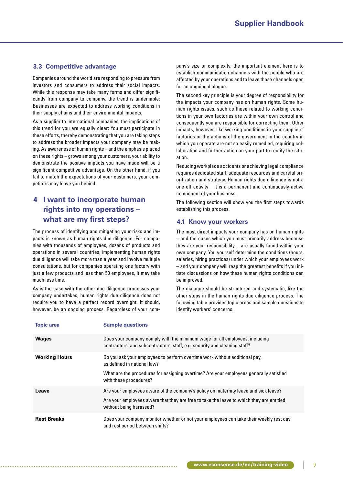# **3.3 Competitive advantage**

Companies around the world are responding to pressure from investors and consumers to address their social impacts. While this response may take many forms and differ significantly from company to company, the trend is undeniable: Businesses are expected to address working conditions in their supply chains and their environmental impacts.

As a supplier to international companies, the implications of this trend for you are equally clear: You must participate in these efforts, thereby demonstrating that you are taking steps to address the broader impacts your company may be making. As awareness of human rights – and the emphasis placed on these rights – grows among your customers, your ability to demonstrate the positive impacts you have made will be a significant competitive advantage. On the other hand, if you fail to match the expectations of your customers, your competitors may leave you behind.

# **4 I want to incorporate human rights into my operations – what are my first steps?**

The process of identifying and mitigating your risks and impacts is known as human rights due diligence. For companies with thousands of employees, dozens of products and operations in several countries, implementing human rights due diligence will take more than a year and involve multiple consultations, but for companies operating one factory with just a few products and less than 50 employees, it may take much less time.

As is the case with the other due diligence processes your company undertakes, human rights due diligence does not require you to have a perfect record overnight. It should, however, be an ongoing process. Regardless of your company's size or complexity, the important element here is to establish communication channels with the people who are affected by your operations and to leave those channels open for an ongoing dialogue.

The second key principle is your degree of responsibility for the impacts your company has on human rights. Some human rights issues, such as those related to working conditions in your own factories are within your own control and consequently you are responsible for correcting them. Other impacts, however, like working conditions in your suppliers' factories or the actions of the government in the country in which you operate are not so easily remedied, requiring collaboration and further action on your part to rectify the situation.

Reducing workplace accidents or achieving legal compliance requires dedicated staff, adequate resources and careful prioritization and strategy. Human rights due diligence is not a one-off activity – it is a permanent and continuously-active component of your business.

The following section will show you the first steps towards establishing this process.

## **4.1 Know your workers**

The most direct impacts your company has on human rights – and the cases which you must primarily address because they are your responsibility – are usually found within your own company. You yourself determine the conditions (hours, salaries, hiring practices) under which your employees work – and your company will reap the greatest benefits if you initiate discussions on how these human rights conditions can be improved.

The dialogue should be structured and systematic, like the other steps in the human rights due diligence process. The following table provides topic areas and sample questions to identify workers' concerns.

| <b>Topic area</b>    | <b>Sample questions</b>                                                                                                                                                                                                       |
|----------------------|-------------------------------------------------------------------------------------------------------------------------------------------------------------------------------------------------------------------------------|
| <b>Wages</b>         | Does your company comply with the minimum wage for all employees, including<br>contractors' and subcontractors' staff, e.g. security and cleaning staff?                                                                      |
| <b>Working Hours</b> | Do you ask your employees to perform overtime work without additional pay,<br>as defined in national law?<br>What are the procedures for assigning overtime? Are your employees generally satisfied<br>with these procedures? |
| Leave                | Are your employees aware of the company's policy on maternity leave and sick leave?<br>Are your employees aware that they are free to take the leave to which they are entitled<br>without being harassed?                    |
| <b>Rest Breaks</b>   | Does your company monitor whether or not your employees can take their weekly rest day<br>and rest period between shifts?                                                                                                     |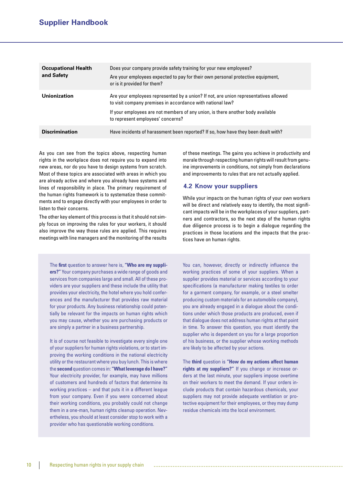| <b>Occupational Health</b><br>and Safety | Does your company provide safety training for your new employees?<br>Are your employees expected to pay for their own personal protective equipment,<br>or is it provided for them?                                                                                        |
|------------------------------------------|----------------------------------------------------------------------------------------------------------------------------------------------------------------------------------------------------------------------------------------------------------------------------|
| Unionization                             | Are your employees represented by a union? If not, are union representatives allowed<br>to visit company premises in accordance with national law?<br>If your employees are not members of any union, is there another body available<br>to represent employees' concerns? |
| <b>Discrimination</b>                    | Have incidents of harassment been reported? If so, how have they been dealt with?                                                                                                                                                                                          |

As you can see from the topics above, respecting human rights in the workplace does not require you to expand into new areas, nor do you have to design systems from scratch. Most of these topics are associated with areas in which you are already active and where you already have systems and lines of responsibility in place. The primary requirement of the human rights framework is to systematize these commitments and to engage directly with your employees in order to listen to their concerns.

The other key element of this process is that it should not simply focus on improving the rules for your workers, it should also improve the way those rules are applied. This requires meetings with line managers and the monitoring of the results

The **first** question to answer here is, **"Who are my suppliers?"** Your company purchases a wide range of goods and services from companies large and small. All of these providers are your suppliers and these include the utility that provides your electricity, the hotel where you hold conferences and the manufacturer that provides raw material for your products. Any business relationship could potentially be relevant for the impacts on human rights which you may cause, whether you are purchasing products or are simply a partner in a business partnership.

It is of course not feasible to investigate every single one of your suppliers for human rights violations, or to start improving the working conditions in the national electricity utility or the restaurant where you buy lunch. This is where the **second** question comes in: **"What leverage do I have?"** Your electricity provider, for example, may have millions of customers and hundreds of factors that determine its working practices – and that puts it in a different league from your company. Even if you were concerned about their working conditions, you probably could not change them in a one-man, human rights cleanup operation. Nevertheless, you should at least consider stop to work with a provider who has questionable working conditions.

of these meetings. The gains you achieve in productivity and morale through respecting human rights will result from genuine improvements in conditions, not simply from declarations and improvements to rules that are not actually applied.

# **4.2 Know your suppliers**

While your impacts on the human rights of your own workers will be direct and relatively easy to identify, the most significant impacts will be in the workplaces of your suppliers, partners and contractors, so the next step of the human rights due diligence process is to begin a dialogue regarding the practices in those locations and the impacts that the practices have on human rights.

You can, however, directly or indirectly influence the working practices of some of your suppliers. When a supplier provides material or services according to your specifications (a manufacturer making textiles to order for a garment company, for example, or a steel smelter producing custom materials for an automobile company), you are already engaged in a dialogue about the conditions under which those products are produced, even if that dialogue does not address human rights at that point in time. To answer this question, you must identify the supplier who is dependent on you for a large proportion of his business, or the supplier whose working methods are likely to be affected by your actions.

The **third** question is **"How do my actions affect human rights at my suppliers?"** If you change or increase orders at the last minute, your suppliers impose overtime on their workers to meet the demand. If your orders include products that contain hazardous chemicals, your suppliers may not provide adequate ventilation or protective equipment for their employees, or they may dump residue chemicals into the local environment.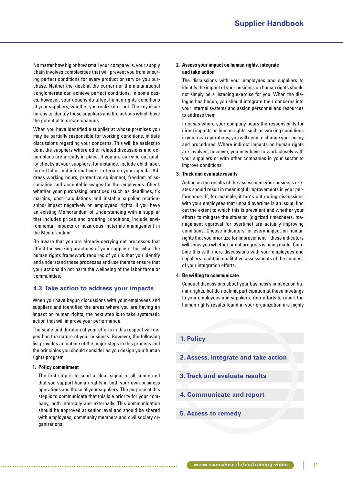No matter how big or how small your company is, your supply chain involves complexities that will prevent you from ensuring perfect conditions for every product or service you purchase. Neither the kiosk at the corner nor the multinational conglomerate can achieve perfect conditions. In some cases, however, your actions do affect human rights conditions at your suppliers, whether you realize it or not. The key issue here is to identify those suppliers and the actions which have the potential to create changes.

When you have identified a supplier at whose premises you may be partially responsible for working conditions, initiate discussions regarding your concerns. This will be easiest to do at the suppliers where other related discussions and action plans are already in place. If you are carrying out quality checks at your suppliers, for instance, include child labor, forced labor and informal work criteria on your agenda. Address working hours, protective equipment, freedom of association and acceptable wages for the employees. Check whether your purchasing practices (such as deadlines, fix margins, cost calculations and instable supplier relationships) impact negatively on employees' rights. If you have an existing Memorandum of Understanding with a supplier that includes prices and ordering conditions, include environmental impacts or hazardous materials management in the Memorandum.

Be aware that you are already carrying out processes that affect the working practices of your suppliers; but what the human rights framework requires of you is that you identify and understand these processes and use them to ensure that your actions do not harm the wellbeing of the labor force or communities.

## **4.3 Take action to address your impacts**

When you have begun discussions with your employees and suppliers and identified the areas where you are having an impact on human rights, the next step is to take systematic action that will improve your performance.

The scale and duration of your efforts in this respect will depend on the nature of your business. However, the following list provides an outline of the major steps in this process and the principles you should consider as you design your human rights program.

#### **1. Policy commitment**

 The first step is to send a clear signal to all concerned that you support human rights in both your own business operations and those of your suppliers. The purpose of this step is to communicate that this is a priority for your company, both internally and externally. This communication should be approved at senior level and should be shared with employees, community members and civil society organizations.

#### **2. Assess your impact on human rights, integrate and take action**

 The discussions with your employees and suppliers to identify the impact of your business on human rights should not simply be a listening exercise for you. When the dialogue has begun, you should integrate their concerns into your internal systems and assign personnel and resources to address them.

 In cases where your company bears the responsibility for direct impacts on human rights, such as working conditions in your own operations, you will need to change your policy and procedures. Where indirect impacts on human rights are involved, however, you may have to work closely with your suppliers or with other companies in your sector to improve conditions.

#### **3. Track and evaluate results**

 Acting on the results of the assessment your business creates should result in meaningful improvements in your performance. If, for example, it turns out during discussions with your employees that unpaid overtime is an issue, find out the extent to which this is prevalent and whether your efforts to mitigate the situation (digitized timesheets, management approval for overtime) are actually improving conditions. Choose indicators for every impact on human rights that you prioritize for improvement – these indicators will show you whether or not progress is being made. Combine this with more discussions with your employees and suppliers to obtain qualitative assessments of the success of your integration efforts.

#### **4. Be willing to communicate**

 Conduct discussions about your business's impacts on human rights, but do not limit participation at these meetings to your employees and suppliers. Your efforts to report the human rights results found in your organization are highly

# **1. Policy**

- **2. Assess, integrate and take action**
- **3. Track and evaluate results**
- **4. Communicate and report**
- **5. Access to remedy**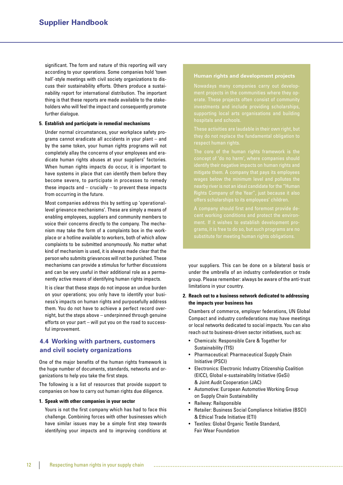significant. The form and nature of this reporting will vary according to your operations. Some companies hold 'town hall'-style meetings with civil society organizations to discuss their sustainability efforts. Others produce a sustainability report for international distribution. The important thing is that these reports are made available to the stakeholders who will feel the impact and consequently promote further dialogue.

#### **5. Establish and participate in remedial mechanisms**

 Under normal circumstances, your workplace safety programs cannot eradicate all accidents in your plant – and by the same token, your human rights programs will not completely allay the concerns of your employees and eradicate human rights abuses at your suppliers' factories. When human rights impacts do occur, it is important to have systems in place that can identify them before they become severe, to participate in processes to remedy these impacts and  $-$  crucially  $-$  to prevent these impacts from occurring in the future.

Most companies address this by setting up 'operationallevel grievance mechanisms'. These are simply a means of enabling employees, suppliers and community members to voice their concerns directly to the company. The mechanism may take the form of a complaints box in the workplace or a hotline available to workers, both of which allow complaints to be submitted anonymously. No matter what kind of mechanism is used, it is always made clear that the person who submits grievances will not be punished. These mechanisms can provide a stimulus for further discussions and can be very useful in their additional role as a permanently active means of identifying human rights impacts.

 It is clear that these steps do not impose an undue burden on your operations; you only have to identify your business's impacts on human rights and purposefully address them. You do not have to achieve a perfect record overnight, but the steps above – underpinned through genuine efforts on your part – will put you on the road to successful improvement.

# **4.4 Working with partners, customers and civil society organizations**

One of the major benefits of the human rights framework is the huge number of documents, standards, networks and organizations to help you take the first steps.

The following is a list of resources that provide support to companies on how to carry out human rights due diligence.

#### **1. Speak with other companies in your sector**

Yours is not the first company which has had to face this challenge. Combining forces with other businesses which have similar issues may be a simple first step towards identifying your impacts and to improving conditions at

#### **Human rights and development projects**

Nowadays many companies carry out development projects in the communities where they opte. These projects often consist of community

nearby river is not an ideal candidate for the "Human

A company should first and foremost provide decent working conditions and protect the environ-

your suppliers. This can be done on a bilateral basis or under the umbrella of an industry confederation or trade group. Please remember: always be aware of the anti-trust limitations in your country.

## **2. Reach out to a business network dedicated to addressing the impacts your business has**

 Chambers of commerce, employer federations, UN Global Compact and industry confederations may have meetings or local networks dedicated to social impacts. You can also reach out to business-driven sector initiatives, such as:

- Chemicals: Responsible Care & Together for Sustainability (TfS)
- Pharmaceutical: Pharmaceutical Supply Chain Initiative (PSCI)
- Electronics: Electronic Industry Citizenship Coalition (EICC), Global e-sustainability Initiative (GeSi) & Joint Audit Cooperation (JAC)
- Automotive: European Automotive Working Group on Supply Chain Sustainability
- Railway: Railsponsible
- Retailer: Business Social Compliance Initiative (BSCI) & Ethical Trade Initiative (ETI)
- Textiles: Global Organic Textile Standard, Fair Wear Foundation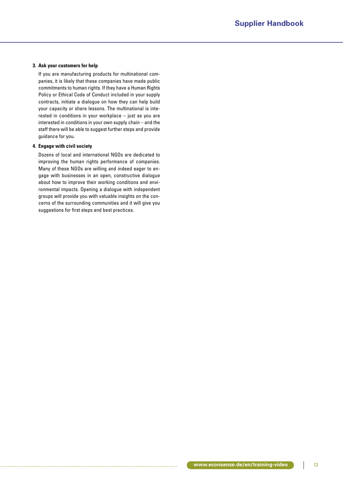## **3. Ask your customers for help**

 If you are manufacturing products for multinational companies, it is likely that these companies have made public commitments to human rights. If they have a Human Rights Policy or Ethical Code of Conduct included in your supply contracts, initiate a dialogue on how they can help build your capacity or share lessons. The multinational is interested in conditions in your workplace – just as you are interested in conditions in your own supply chain – and the staff there will be able to suggest further steps and provide guidance for you.

#### **4. Engage with civil society**

 Dozens of local and international NGOs are dedicated to improving the human rights performance of companies. Many of these NGOs are willing and indeed eager to engage with businesses in an open, constructive dialogue about how to improve their working conditions and environmental impacts. Opening a dialogue with independent groups will provide you with valuable insights on the concerns of the surrounding communities and it will give you suggestions for first steps and best practices.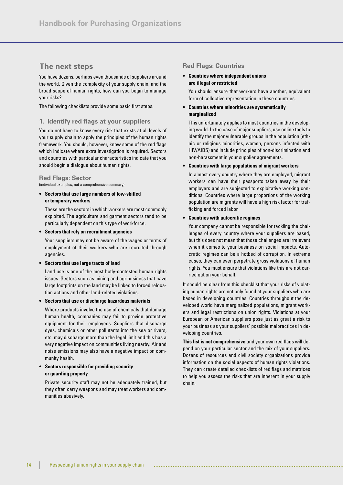# **The next steps**

You have dozens, perhaps even thousands of suppliers around the world. Given the complexity of your supply chain, and the broad scope of human rights, how can you begin to manage your risks?

The following checklists provide some basic first steps.

## **1. Identify red flags at your suppliers**

You do not have to know every risk that exists at all levels of your supply chain to apply the principles of the human rights framework. You should, however, know some of the red flags which indicate where extra investigation is required. Sectors and countries with particular characteristics indicate that you should begin a dialogue about human rights.

## **Red Flags: Sector**

(individual examples, not a comprehensive summary)

**• Sectors that use large numbers of low-skilled or temporary workers**

 These are the sectors in which workers are most commonly exploited. The agriculture and garment sectors tend to be particularly dependent on this type of workforce.

**• Sectors that rely on recruitment agencies**

 Your suppliers may not be aware of the wages or terms of employment of their workers who are recruited through agencies.

**• Sectors that use large tracts of land**

 Land use is one of the most hotly-contested human rights issues. Sectors such as mining and agribusiness that have large footprints on the land may be linked to forced relocation actions and other land-related violations.

**• Sectors that use or discharge hazardous materials**

 Where products involve the use of chemicals that damage human health, companies may fail to provide protective equipment for their employees. Suppliers that discharge dyes, chemicals or other pollutants into the sea or rivers, etc. may discharge more than the legal limit and this has a very negative impact on communities living nearby. Air and noise emissions may also have a negative impact on community health.

## **• Sectors responsible for providing security or guarding property**

 Private security staff may not be adequately trained, but they often carry weapons and may treat workers and communities abusively.

# **Red Flags: Countries**

## **• Countries where independent unions are illegal or restricted**

You should ensure that workers have another, equivalent form of collective representation in these countries.

## **• Countries where minorities are systematically marginalized**

 This unfortunately applies to most countries in the developing world. In the case of major suppliers, use online tools to identify the major vulnerable groups in the population (ethnic or religious minorities, women, persons infected with HIV/AIDS) and include principles of non-discrimination and non-harassment in your supplier agreements.

#### **• Countries with large populations of migrant workers**

 In almost every country where they are employed, migrant workers can have their passports taken away by their employers and are subjected to exploitative working conditions. Countries where large proportions of the working population are migrants will have a high risk factor for trafficking and forced labor.

#### **• Countries with autocratic regimes**

 Your company cannot be responsible for tackling the challenges of every country where your suppliers are based, but this does not mean that those challenges are irrelevant when it comes to your business on social impacts. Autocratic regimes can be a hotbed of corruption. In extreme cases, they can even perpetrate gross violations of human rights. You must ensure that violations like this are not carried out on your behalf.

It should be clear from this checklist that your risks of violating human rights are not only found at your suppliers who are based in developing countries. Countries throughout the developed world have marginalized populations, migrant workers and legal restrictions on union rights. Violations at your European or American suppliers pose just as great a risk to your business as your suppliers' possible malpractices in developing countries.

**This list is not comprehensive** and your own red flags will depend on your particular sector and the mix of your suppliers. Dozens of resources and civil society organizations provide information on the social aspects of human rights violations. They can create detailed checklists of red flags and matrices to help you assess the risks that are inherent in your supply chain.